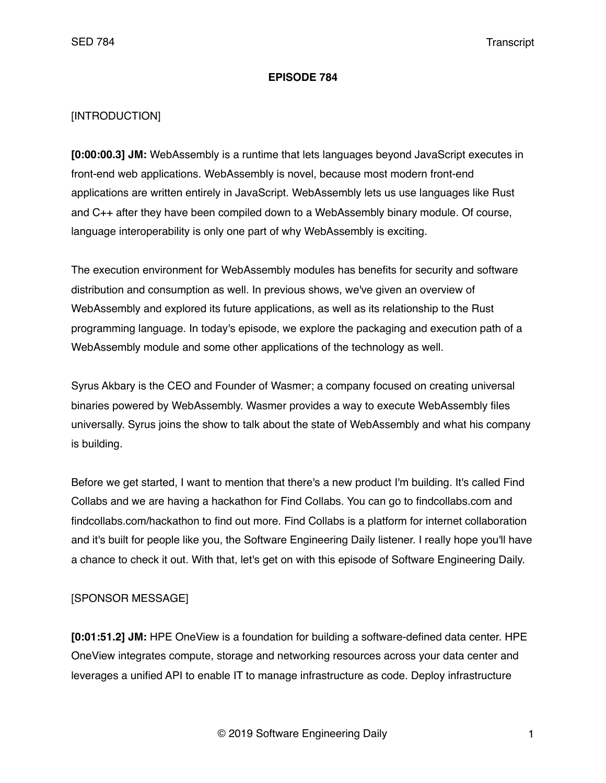#### **EPISODE 784**

### [INTRODUCTION]

**[0:00:00.3] JM:** WebAssembly is a runtime that lets languages beyond JavaScript executes in front-end web applications. WebAssembly is novel, because most modern front-end applications are written entirely in JavaScript. WebAssembly lets us use languages like Rust and C++ after they have been compiled down to a WebAssembly binary module. Of course, language interoperability is only one part of why WebAssembly is exciting.

The execution environment for WebAssembly modules has benefits for security and software distribution and consumption as well. In previous shows, we've given an overview of WebAssembly and explored its future applications, as well as its relationship to the Rust programming language. In today's episode, we explore the packaging and execution path of a WebAssembly module and some other applications of the technology as well.

Syrus Akbary is the CEO and Founder of Wasmer; a company focused on creating universal binaries powered by WebAssembly. Wasmer provides a way to execute WebAssembly files universally. Syrus joins the show to talk about the state of WebAssembly and what his company is building.

Before we get started, I want to mention that there's a new product I'm building. It's called Find Collabs and we are having a hackathon for Find Collabs. You can go to findcollabs.com and findcollabs.com/hackathon to find out more. Find Collabs is a platform for internet collaboration and it's built for people like you, the Software Engineering Daily listener. I really hope you'll have a chance to check it out. With that, let's get on with this episode of Software Engineering Daily.

# [SPONSOR MESSAGE]

**[0:01:51.2] JM:** HPE OneView is a foundation for building a software-defined data center. HPE OneView integrates compute, storage and networking resources across your data center and leverages a unified API to enable IT to manage infrastructure as code. Deploy infrastructure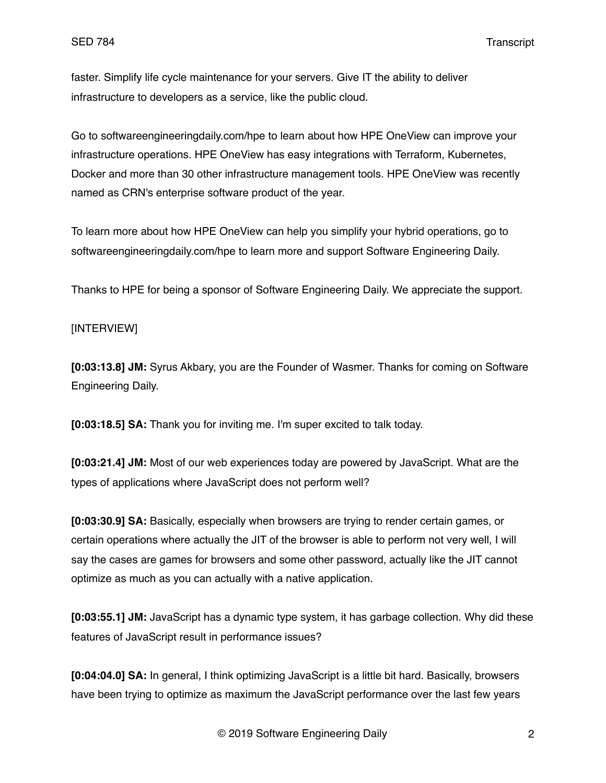faster. Simplify life cycle maintenance for your servers. Give IT the ability to deliver infrastructure to developers as a service, like the public cloud.

Go to softwareengineeringdaily.com/hpe to learn about how HPE OneView can improve your infrastructure operations. HPE OneView has easy integrations with Terraform, Kubernetes, Docker and more than 30 other infrastructure management tools. HPE OneView was recently named as CRN's enterprise software product of the year.

To learn more about how HPE OneView can help you simplify your hybrid operations, go to softwareengineeringdaily.com/hpe to learn more and support Software Engineering Daily.

Thanks to HPE for being a sponsor of Software Engineering Daily. We appreciate the support.

# [INTERVIEW]

**[0:03:13.8] JM:** Syrus Akbary, you are the Founder of Wasmer. Thanks for coming on Software Engineering Daily.

**[0:03:18.5] SA:** Thank you for inviting me. I'm super excited to talk today.

**[0:03:21.4] JM:** Most of our web experiences today are powered by JavaScript. What are the types of applications where JavaScript does not perform well?

**[0:03:30.9] SA:** Basically, especially when browsers are trying to render certain games, or certain operations where actually the JIT of the browser is able to perform not very well, I will say the cases are games for browsers and some other password, actually like the JIT cannot optimize as much as you can actually with a native application.

**[0:03:55.1] JM:** JavaScript has a dynamic type system, it has garbage collection. Why did these features of JavaScript result in performance issues?

**[0:04:04.0] SA:** In general, I think optimizing JavaScript is a little bit hard. Basically, browsers have been trying to optimize as maximum the JavaScript performance over the last few years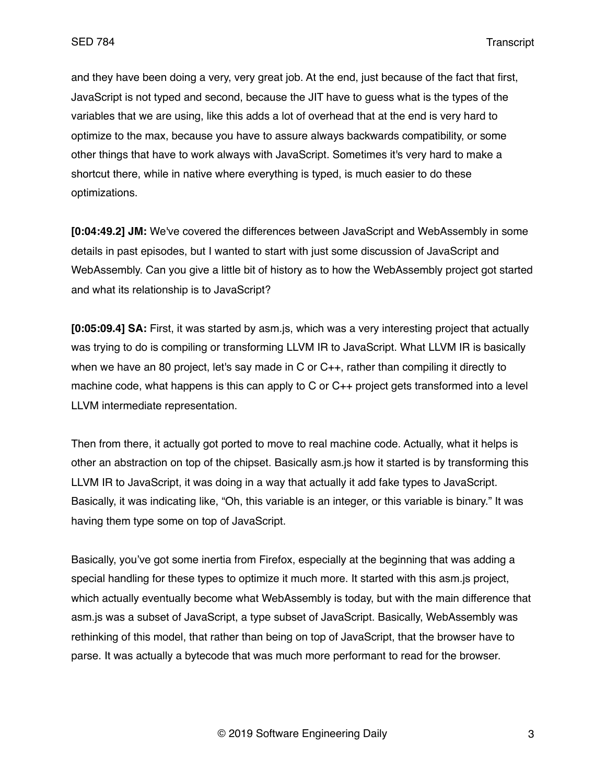and they have been doing a very, very great job. At the end, just because of the fact that first, JavaScript is not typed and second, because the JIT have to guess what is the types of the variables that we are using, like this adds a lot of overhead that at the end is very hard to optimize to the max, because you have to assure always backwards compatibility, or some other things that have to work always with JavaScript. Sometimes it's very hard to make a shortcut there, while in native where everything is typed, is much easier to do these optimizations.

**[0:04:49.2] JM:** We've covered the differences between JavaScript and WebAssembly in some details in past episodes, but I wanted to start with just some discussion of JavaScript and WebAssembly. Can you give a little bit of history as to how the WebAssembly project got started and what its relationship is to JavaScript?

**[0:05:09.4] SA:** First, it was started by asm.js, which was a very interesting project that actually was trying to do is compiling or transforming LLVM IR to JavaScript. What LLVM IR is basically when we have an 80 project, let's say made in C or C++, rather than compiling it directly to machine code, what happens is this can apply to C or C++ project gets transformed into a level LLVM intermediate representation.

Then from there, it actually got ported to move to real machine code. Actually, what it helps is other an abstraction on top of the chipset. Basically asm.js how it started is by transforming this LLVM IR to JavaScript, it was doing in a way that actually it add fake types to JavaScript. Basically, it was indicating like, "Oh, this variable is an integer, or this variable is binary." It was having them type some on top of JavaScript.

Basically, you've got some inertia from Firefox, especially at the beginning that was adding a special handling for these types to optimize it much more. It started with this asm.js project, which actually eventually become what WebAssembly is today, but with the main difference that asm.js was a subset of JavaScript, a type subset of JavaScript. Basically, WebAssembly was rethinking of this model, that rather than being on top of JavaScript, that the browser have to parse. It was actually a bytecode that was much more performant to read for the browser.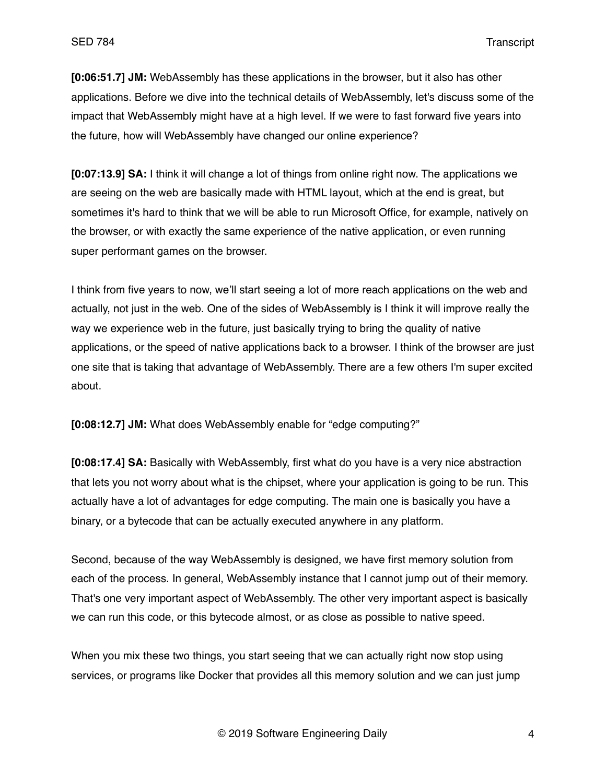**[0:06:51.7] JM:** WebAssembly has these applications in the browser, but it also has other applications. Before we dive into the technical details of WebAssembly, let's discuss some of the impact that WebAssembly might have at a high level. If we were to fast forward five years into the future, how will WebAssembly have changed our online experience?

**[0:07:13.9] SA:** I think it will change a lot of things from online right now. The applications we are seeing on the web are basically made with HTML layout, which at the end is great, but sometimes it's hard to think that we will be able to run Microsoft Office, for example, natively on the browser, or with exactly the same experience of the native application, or even running super performant games on the browser.

I think from five years to now, we'll start seeing a lot of more reach applications on the web and actually, not just in the web. One of the sides of WebAssembly is I think it will improve really the way we experience web in the future, just basically trying to bring the quality of native applications, or the speed of native applications back to a browser. I think of the browser are just one site that is taking that advantage of WebAssembly. There are a few others I'm super excited about.

**[0:08:12.7] JM:** What does WebAssembly enable for "edge computing?"

**[0:08:17.4] SA:** Basically with WebAssembly, first what do you have is a very nice abstraction that lets you not worry about what is the chipset, where your application is going to be run. This actually have a lot of advantages for edge computing. The main one is basically you have a binary, or a bytecode that can be actually executed anywhere in any platform.

Second, because of the way WebAssembly is designed, we have first memory solution from each of the process. In general, WebAssembly instance that I cannot jump out of their memory. That's one very important aspect of WebAssembly. The other very important aspect is basically we can run this code, or this bytecode almost, or as close as possible to native speed.

When you mix these two things, you start seeing that we can actually right now stop using services, or programs like Docker that provides all this memory solution and we can just jump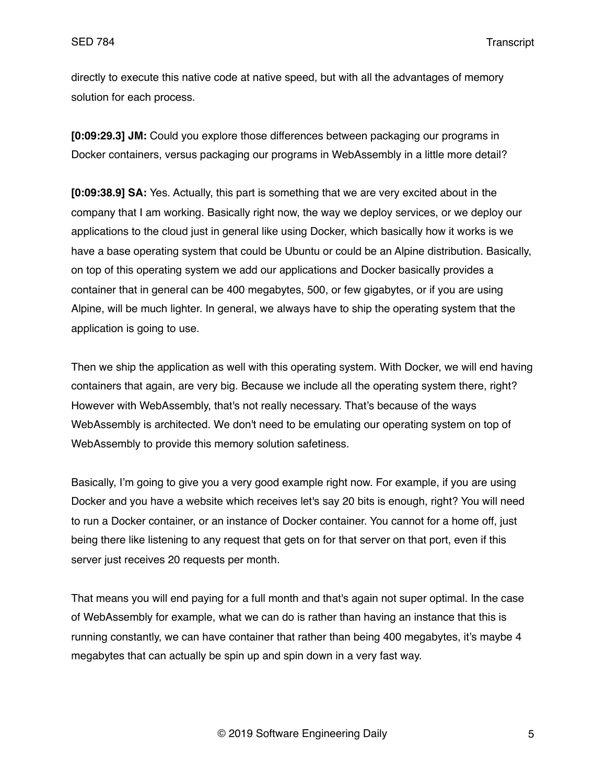directly to execute this native code at native speed, but with all the advantages of memory solution for each process.

**[0:09:29.3] JM:** Could you explore those differences between packaging our programs in Docker containers, versus packaging our programs in WebAssembly in a little more detail?

**[0:09:38.9] SA:** Yes. Actually, this part is something that we are very excited about in the company that I am working. Basically right now, the way we deploy services, or we deploy our applications to the cloud just in general like using Docker, which basically how it works is we have a base operating system that could be Ubuntu or could be an Alpine distribution. Basically, on top of this operating system we add our applications and Docker basically provides a container that in general can be 400 megabytes, 500, or few gigabytes, or if you are using Alpine, will be much lighter. In general, we always have to ship the operating system that the application is going to use.

Then we ship the application as well with this operating system. With Docker, we will end having containers that again, are very big. Because we include all the operating system there, right? However with WebAssembly, that's not really necessary. That's because of the ways WebAssembly is architected. We don't need to be emulating our operating system on top of WebAssembly to provide this memory solution safetiness.

Basically, I'm going to give you a very good example right now. For example, if you are using Docker and you have a website which receives let's say 20 bits is enough, right? You will need to run a Docker container, or an instance of Docker container. You cannot for a home off, just being there like listening to any request that gets on for that server on that port, even if this server just receives 20 requests per month.

That means you will end paying for a full month and that's again not super optimal. In the case of WebAssembly for example, what we can do is rather than having an instance that this is running constantly, we can have container that rather than being 400 megabytes, it's maybe 4 megabytes that can actually be spin up and spin down in a very fast way.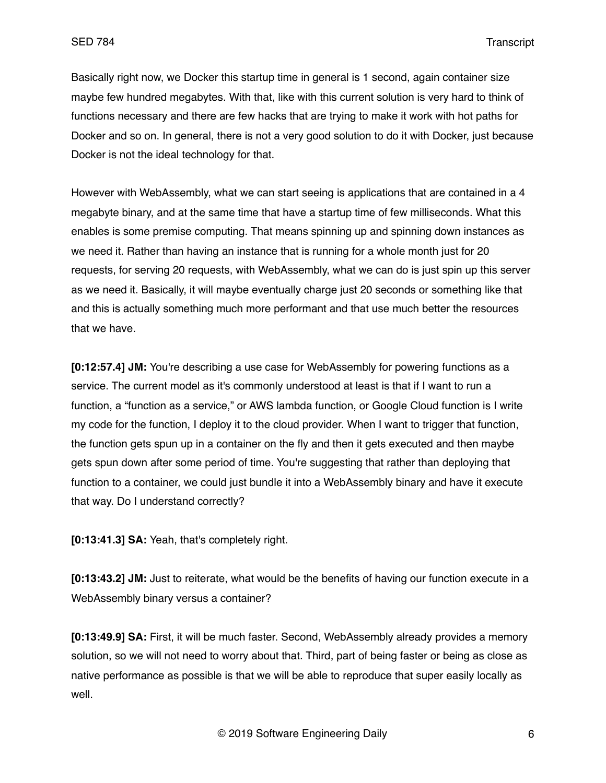Basically right now, we Docker this startup time in general is 1 second, again container size maybe few hundred megabytes. With that, like with this current solution is very hard to think of functions necessary and there are few hacks that are trying to make it work with hot paths for Docker and so on. In general, there is not a very good solution to do it with Docker, just because Docker is not the ideal technology for that.

However with WebAssembly, what we can start seeing is applications that are contained in a 4 megabyte binary, and at the same time that have a startup time of few milliseconds. What this enables is some premise computing. That means spinning up and spinning down instances as we need it. Rather than having an instance that is running for a whole month just for 20 requests, for serving 20 requests, with WebAssembly, what we can do is just spin up this server as we need it. Basically, it will maybe eventually charge just 20 seconds or something like that and this is actually something much more performant and that use much better the resources that we have.

**[0:12:57.4] JM:** You're describing a use case for WebAssembly for powering functions as a service. The current model as it's commonly understood at least is that if I want to run a function, a "function as a service," or AWS lambda function, or Google Cloud function is I write my code for the function, I deploy it to the cloud provider. When I want to trigger that function, the function gets spun up in a container on the fly and then it gets executed and then maybe gets spun down after some period of time. You're suggesting that rather than deploying that function to a container, we could just bundle it into a WebAssembly binary and have it execute that way. Do I understand correctly?

**[0:13:41.3] SA:** Yeah, that's completely right.

**[0:13:43.2] JM:** Just to reiterate, what would be the benefits of having our function execute in a WebAssembly binary versus a container?

**[0:13:49.9] SA:** First, it will be much faster. Second, WebAssembly already provides a memory solution, so we will not need to worry about that. Third, part of being faster or being as close as native performance as possible is that we will be able to reproduce that super easily locally as well.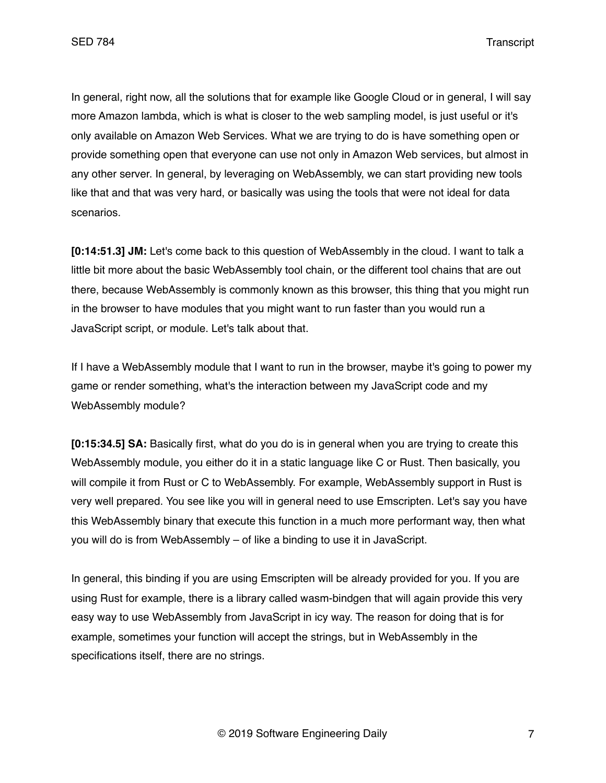In general, right now, all the solutions that for example like Google Cloud or in general, I will say more Amazon lambda, which is what is closer to the web sampling model, is just useful or it's only available on Amazon Web Services. What we are trying to do is have something open or provide something open that everyone can use not only in Amazon Web services, but almost in any other server. In general, by leveraging on WebAssembly, we can start providing new tools like that and that was very hard, or basically was using the tools that were not ideal for data scenarios.

**[0:14:51.3] JM:** Let's come back to this question of WebAssembly in the cloud. I want to talk a little bit more about the basic WebAssembly tool chain, or the different tool chains that are out there, because WebAssembly is commonly known as this browser, this thing that you might run in the browser to have modules that you might want to run faster than you would run a JavaScript script, or module. Let's talk about that.

If I have a WebAssembly module that I want to run in the browser, maybe it's going to power my game or render something, what's the interaction between my JavaScript code and my WebAssembly module?

**[0:15:34.5] SA:** Basically first, what do you do is in general when you are trying to create this WebAssembly module, you either do it in a static language like C or Rust. Then basically, you will compile it from Rust or C to WebAssembly. For example, WebAssembly support in Rust is very well prepared. You see like you will in general need to use Emscripten. Let's say you have this WebAssembly binary that execute this function in a much more performant way, then what you will do is from WebAssembly – of like a binding to use it in JavaScript.

In general, this binding if you are using Emscripten will be already provided for you. If you are using Rust for example, there is a library called wasm-bindgen that will again provide this very easy way to use WebAssembly from JavaScript in icy way. The reason for doing that is for example, sometimes your function will accept the strings, but in WebAssembly in the specifications itself, there are no strings.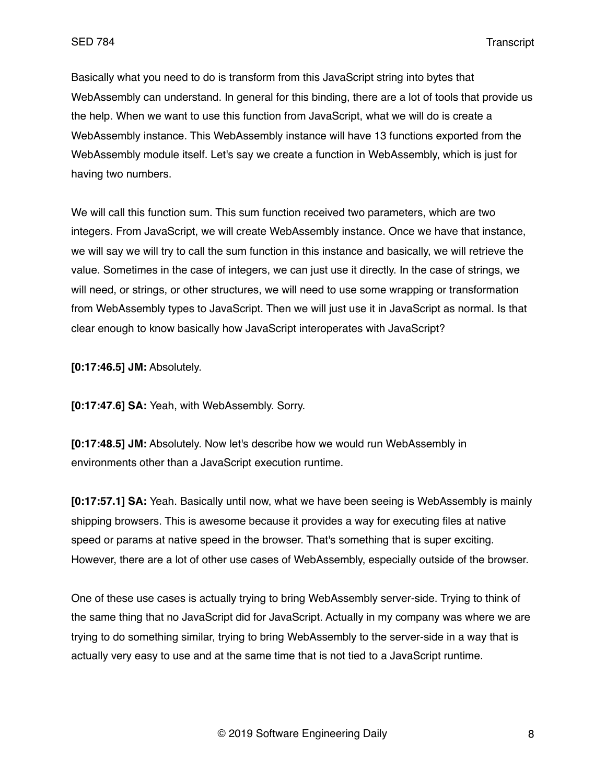Basically what you need to do is transform from this JavaScript string into bytes that WebAssembly can understand. In general for this binding, there are a lot of tools that provide us the help. When we want to use this function from JavaScript, what we will do is create a WebAssembly instance. This WebAssembly instance will have 13 functions exported from the WebAssembly module itself. Let's say we create a function in WebAssembly, which is just for having two numbers.

We will call this function sum. This sum function received two parameters, which are two integers. From JavaScript, we will create WebAssembly instance. Once we have that instance, we will say we will try to call the sum function in this instance and basically, we will retrieve the value. Sometimes in the case of integers, we can just use it directly. In the case of strings, we will need, or strings, or other structures, we will need to use some wrapping or transformation from WebAssembly types to JavaScript. Then we will just use it in JavaScript as normal. Is that clear enough to know basically how JavaScript interoperates with JavaScript?

**[0:17:46.5] JM:** Absolutely.

**[0:17:47.6] SA:** Yeah, with WebAssembly. Sorry.

**[0:17:48.5] JM:** Absolutely. Now let's describe how we would run WebAssembly in environments other than a JavaScript execution runtime.

**[0:17:57.1] SA:** Yeah. Basically until now, what we have been seeing is WebAssembly is mainly shipping browsers. This is awesome because it provides a way for executing files at native speed or params at native speed in the browser. That's something that is super exciting. However, there are a lot of other use cases of WebAssembly, especially outside of the browser.

One of these use cases is actually trying to bring WebAssembly server-side. Trying to think of the same thing that no JavaScript did for JavaScript. Actually in my company was where we are trying to do something similar, trying to bring WebAssembly to the server-side in a way that is actually very easy to use and at the same time that is not tied to a JavaScript runtime.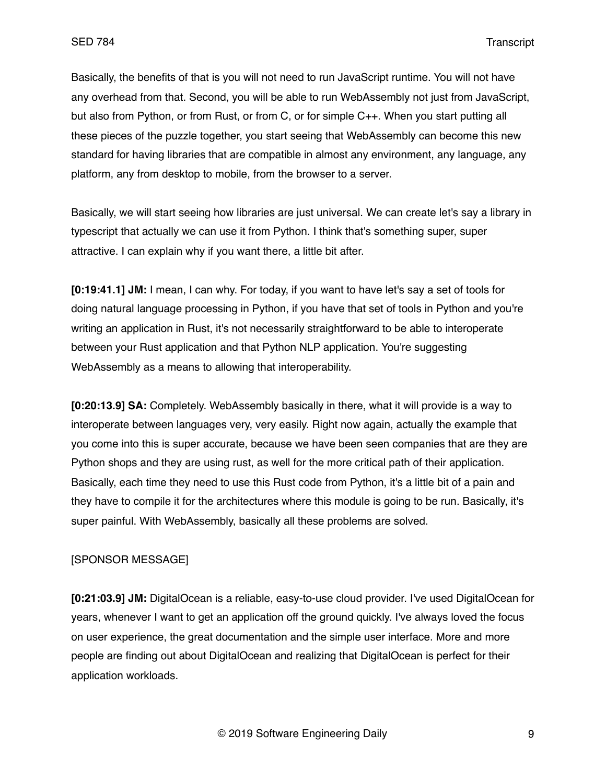Basically, the benefits of that is you will not need to run JavaScript runtime. You will not have any overhead from that. Second, you will be able to run WebAssembly not just from JavaScript, but also from Python, or from Rust, or from C, or for simple C++. When you start putting all these pieces of the puzzle together, you start seeing that WebAssembly can become this new standard for having libraries that are compatible in almost any environment, any language, any platform, any from desktop to mobile, from the browser to a server.

Basically, we will start seeing how libraries are just universal. We can create let's say a library in typescript that actually we can use it from Python. I think that's something super, super attractive. I can explain why if you want there, a little bit after.

**[0:19:41.1] JM:** I mean, I can why. For today, if you want to have let's say a set of tools for doing natural language processing in Python, if you have that set of tools in Python and you're writing an application in Rust, it's not necessarily straightforward to be able to interoperate between your Rust application and that Python NLP application. You're suggesting WebAssembly as a means to allowing that interoperability.

**[0:20:13.9] SA:** Completely. WebAssembly basically in there, what it will provide is a way to interoperate between languages very, very easily. Right now again, actually the example that you come into this is super accurate, because we have been seen companies that are they are Python shops and they are using rust, as well for the more critical path of their application. Basically, each time they need to use this Rust code from Python, it's a little bit of a pain and they have to compile it for the architectures where this module is going to be run. Basically, it's super painful. With WebAssembly, basically all these problems are solved.

### [SPONSOR MESSAGE]

**[0:21:03.9] JM:** DigitalOcean is a reliable, easy-to-use cloud provider. I've used DigitalOcean for years, whenever I want to get an application off the ground quickly. I've always loved the focus on user experience, the great documentation and the simple user interface. More and more people are finding out about DigitalOcean and realizing that DigitalOcean is perfect for their application workloads.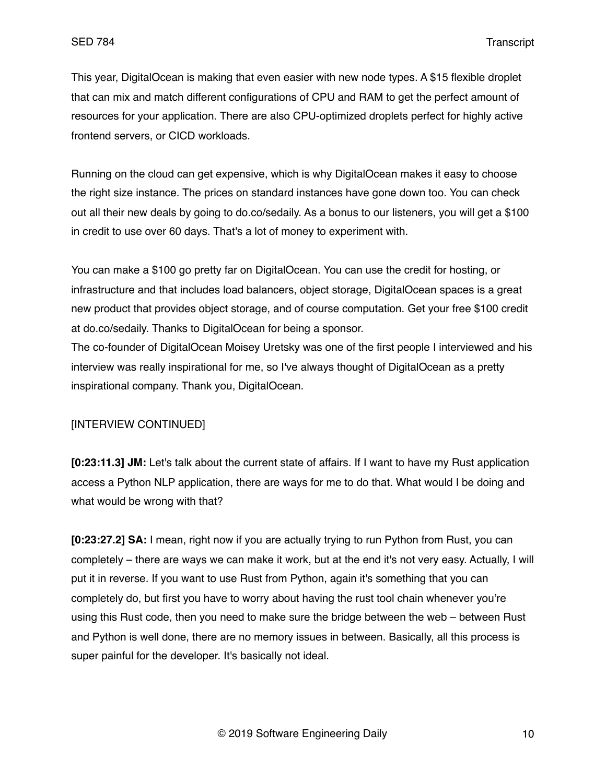This year, DigitalOcean is making that even easier with new node types. A \$15 flexible droplet that can mix and match different configurations of CPU and RAM to get the perfect amount of resources for your application. There are also CPU-optimized droplets perfect for highly active frontend servers, or CICD workloads.

Running on the cloud can get expensive, which is why DigitalOcean makes it easy to choose the right size instance. The prices on standard instances have gone down too. You can check out all their new deals by going to do.co/sedaily. As a bonus to our listeners, you will get a \$100 in credit to use over 60 days. That's a lot of money to experiment with.

You can make a \$100 go pretty far on DigitalOcean. You can use the credit for hosting, or infrastructure and that includes load balancers, object storage, DigitalOcean spaces is a great new product that provides object storage, and of course computation. Get your free \$100 credit at do.co/sedaily. Thanks to DigitalOcean for being a sponsor.

The co-founder of DigitalOcean Moisey Uretsky was one of the first people I interviewed and his interview was really inspirational for me, so I've always thought of DigitalOcean as a pretty inspirational company. Thank you, DigitalOcean.

# [INTERVIEW CONTINUED]

**[0:23:11.3] JM:** Let's talk about the current state of affairs. If I want to have my Rust application access a Python NLP application, there are ways for me to do that. What would I be doing and what would be wrong with that?

**[0:23:27.2] SA:** I mean, right now if you are actually trying to run Python from Rust, you can completely – there are ways we can make it work, but at the end it's not very easy. Actually, I will put it in reverse. If you want to use Rust from Python, again it's something that you can completely do, but first you have to worry about having the rust tool chain whenever you're using this Rust code, then you need to make sure the bridge between the web – between Rust and Python is well done, there are no memory issues in between. Basically, all this process is super painful for the developer. It's basically not ideal.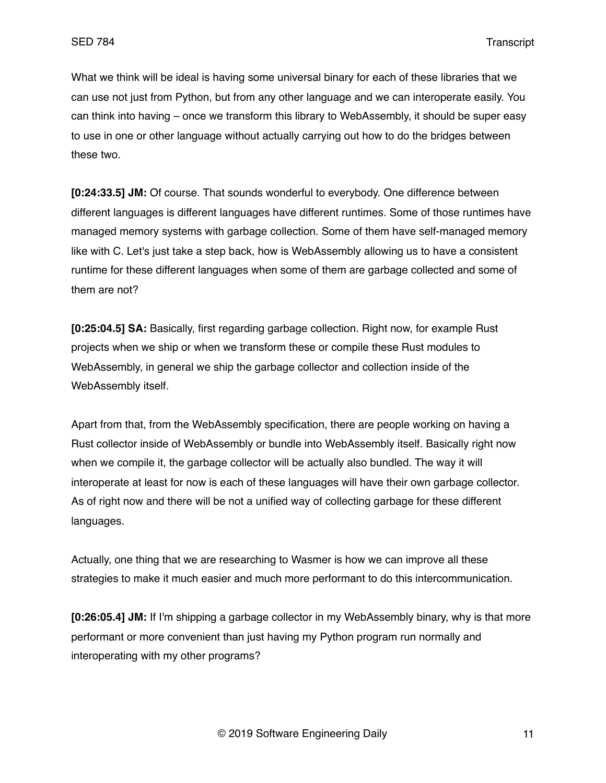What we think will be ideal is having some universal binary for each of these libraries that we can use not just from Python, but from any other language and we can interoperate easily. You can think into having – once we transform this library to WebAssembly, it should be super easy to use in one or other language without actually carrying out how to do the bridges between these two.

**[0:24:33.5] JM:** Of course. That sounds wonderful to everybody. One difference between different languages is different languages have different runtimes. Some of those runtimes have managed memory systems with garbage collection. Some of them have self-managed memory like with C. Let's just take a step back, how is WebAssembly allowing us to have a consistent runtime for these different languages when some of them are garbage collected and some of them are not?

**[0:25:04.5] SA:** Basically, first regarding garbage collection. Right now, for example Rust projects when we ship or when we transform these or compile these Rust modules to WebAssembly, in general we ship the garbage collector and collection inside of the WebAssembly itself.

Apart from that, from the WebAssembly specification, there are people working on having a Rust collector inside of WebAssembly or bundle into WebAssembly itself. Basically right now when we compile it, the garbage collector will be actually also bundled. The way it will interoperate at least for now is each of these languages will have their own garbage collector. As of right now and there will be not a unified way of collecting garbage for these different languages.

Actually, one thing that we are researching to Wasmer is how we can improve all these strategies to make it much easier and much more performant to do this intercommunication.

**[0:26:05.4] JM:** If I'm shipping a garbage collector in my WebAssembly binary, why is that more performant or more convenient than just having my Python program run normally and interoperating with my other programs?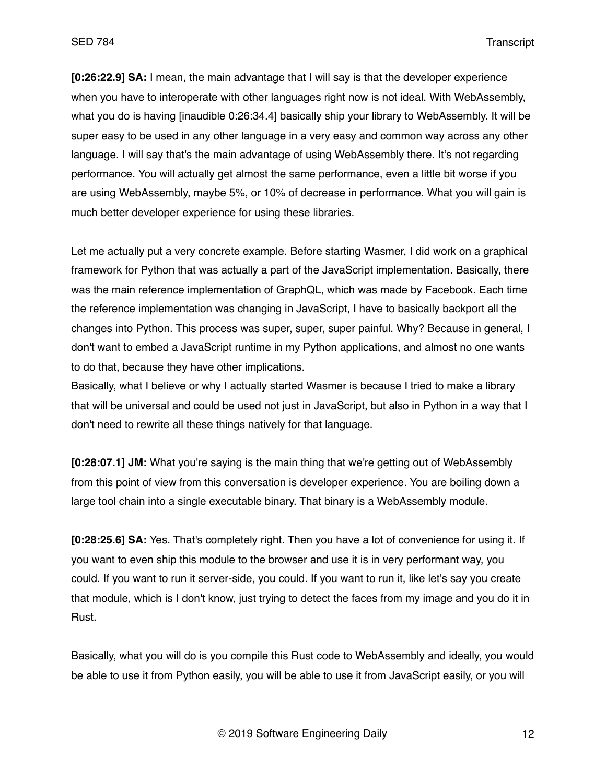**[0:26:22.9] SA:** I mean, the main advantage that I will say is that the developer experience when you have to interoperate with other languages right now is not ideal. With WebAssembly, what you do is having [inaudible 0:26:34.4] basically ship your library to WebAssembly. It will be super easy to be used in any other language in a very easy and common way across any other language. I will say that's the main advantage of using WebAssembly there. It's not regarding performance. You will actually get almost the same performance, even a little bit worse if you are using WebAssembly, maybe 5%, or 10% of decrease in performance. What you will gain is much better developer experience for using these libraries.

Let me actually put a very concrete example. Before starting Wasmer, I did work on a graphical framework for Python that was actually a part of the JavaScript implementation. Basically, there was the main reference implementation of GraphQL, which was made by Facebook. Each time the reference implementation was changing in JavaScript, I have to basically backport all the changes into Python. This process was super, super, super painful. Why? Because in general, I don't want to embed a JavaScript runtime in my Python applications, and almost no one wants to do that, because they have other implications.

Basically, what I believe or why I actually started Wasmer is because I tried to make a library that will be universal and could be used not just in JavaScript, but also in Python in a way that I don't need to rewrite all these things natively for that language.

**[0:28:07.1] JM:** What you're saying is the main thing that we're getting out of WebAssembly from this point of view from this conversation is developer experience. You are boiling down a large tool chain into a single executable binary. That binary is a WebAssembly module.

**[0:28:25.6] SA:** Yes. That's completely right. Then you have a lot of convenience for using it. If you want to even ship this module to the browser and use it is in very performant way, you could. If you want to run it server-side, you could. If you want to run it, like let's say you create that module, which is I don't know, just trying to detect the faces from my image and you do it in Rust.

Basically, what you will do is you compile this Rust code to WebAssembly and ideally, you would be able to use it from Python easily, you will be able to use it from JavaScript easily, or you will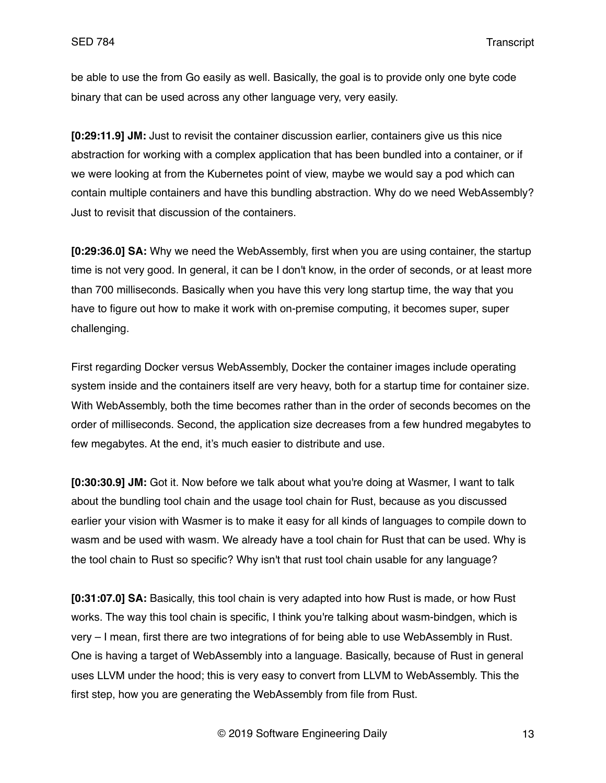be able to use the from Go easily as well. Basically, the goal is to provide only one byte code binary that can be used across any other language very, very easily.

**[0:29:11.9] JM:** Just to revisit the container discussion earlier, containers give us this nice abstraction for working with a complex application that has been bundled into a container, or if we were looking at from the Kubernetes point of view, maybe we would say a pod which can contain multiple containers and have this bundling abstraction. Why do we need WebAssembly? Just to revisit that discussion of the containers.

**[0:29:36.0] SA:** Why we need the WebAssembly, first when you are using container, the startup time is not very good. In general, it can be I don't know, in the order of seconds, or at least more than 700 milliseconds. Basically when you have this very long startup time, the way that you have to figure out how to make it work with on-premise computing, it becomes super, super challenging.

First regarding Docker versus WebAssembly, Docker the container images include operating system inside and the containers itself are very heavy, both for a startup time for container size. With WebAssembly, both the time becomes rather than in the order of seconds becomes on the order of milliseconds. Second, the application size decreases from a few hundred megabytes to few megabytes. At the end, it's much easier to distribute and use.

**[0:30:30.9] JM:** Got it. Now before we talk about what you're doing at Wasmer, I want to talk about the bundling tool chain and the usage tool chain for Rust, because as you discussed earlier your vision with Wasmer is to make it easy for all kinds of languages to compile down to wasm and be used with wasm. We already have a tool chain for Rust that can be used. Why is the tool chain to Rust so specific? Why isn't that rust tool chain usable for any language?

**[0:31:07.0] SA:** Basically, this tool chain is very adapted into how Rust is made, or how Rust works. The way this tool chain is specific, I think you're talking about wasm-bindgen, which is very – I mean, first there are two integrations of for being able to use WebAssembly in Rust. One is having a target of WebAssembly into a language. Basically, because of Rust in general uses LLVM under the hood; this is very easy to convert from LLVM to WebAssembly. This the first step, how you are generating the WebAssembly from file from Rust.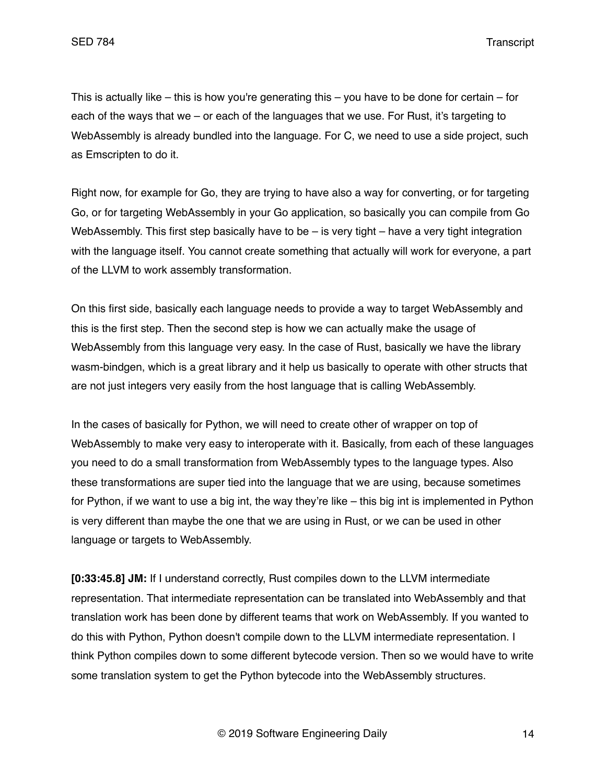This is actually like – this is how you're generating this – you have to be done for certain – for each of the ways that we – or each of the languages that we use. For Rust, it's targeting to WebAssembly is already bundled into the language. For C, we need to use a side project, such as Emscripten to do it.

Right now, for example for Go, they are trying to have also a way for converting, or for targeting Go, or for targeting WebAssembly in your Go application, so basically you can compile from Go WebAssembly. This first step basically have to be – is very tight – have a very tight integration with the language itself. You cannot create something that actually will work for everyone, a part of the LLVM to work assembly transformation.

On this first side, basically each language needs to provide a way to target WebAssembly and this is the first step. Then the second step is how we can actually make the usage of WebAssembly from this language very easy. In the case of Rust, basically we have the library wasm-bindgen, which is a great library and it help us basically to operate with other structs that are not just integers very easily from the host language that is calling WebAssembly.

In the cases of basically for Python, we will need to create other of wrapper on top of WebAssembly to make very easy to interoperate with it. Basically, from each of these languages you need to do a small transformation from WebAssembly types to the language types. Also these transformations are super tied into the language that we are using, because sometimes for Python, if we want to use a big int, the way they're like – this big int is implemented in Python is very different than maybe the one that we are using in Rust, or we can be used in other language or targets to WebAssembly.

**[0:33:45.8] JM:** If I understand correctly, Rust compiles down to the LLVM intermediate representation. That intermediate representation can be translated into WebAssembly and that translation work has been done by different teams that work on WebAssembly. If you wanted to do this with Python, Python doesn't compile down to the LLVM intermediate representation. I think Python compiles down to some different bytecode version. Then so we would have to write some translation system to get the Python bytecode into the WebAssembly structures.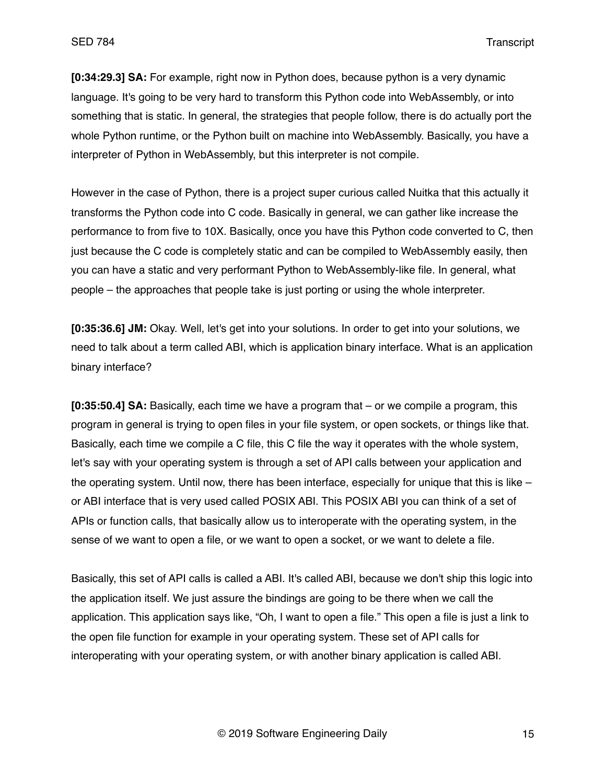**[0:34:29.3] SA:** For example, right now in Python does, because python is a very dynamic language. It's going to be very hard to transform this Python code into WebAssembly, or into something that is static. In general, the strategies that people follow, there is do actually port the whole Python runtime, or the Python built on machine into WebAssembly. Basically, you have a interpreter of Python in WebAssembly, but this interpreter is not compile.

However in the case of Python, there is a project super curious called Nuitka that this actually it transforms the Python code into C code. Basically in general, we can gather like increase the performance to from five to 10X. Basically, once you have this Python code converted to C, then just because the C code is completely static and can be compiled to WebAssembly easily, then you can have a static and very performant Python to WebAssembly-like file. In general, what people – the approaches that people take is just porting or using the whole interpreter.

**[0:35:36.6] JM:** Okay. Well, let's get into your solutions. In order to get into your solutions, we need to talk about a term called ABI, which is application binary interface. What is an application binary interface?

**[0:35:50.4] SA:** Basically, each time we have a program that – or we compile a program, this program in general is trying to open files in your file system, or open sockets, or things like that. Basically, each time we compile a C file, this C file the way it operates with the whole system, let's say with your operating system is through a set of API calls between your application and the operating system. Until now, there has been interface, especially for unique that this is like – or ABI interface that is very used called POSIX ABI. This POSIX ABI you can think of a set of APIs or function calls, that basically allow us to interoperate with the operating system, in the sense of we want to open a file, or we want to open a socket, or we want to delete a file.

Basically, this set of API calls is called a ABI. It's called ABI, because we don't ship this logic into the application itself. We just assure the bindings are going to be there when we call the application. This application says like, "Oh, I want to open a file." This open a file is just a link to the open file function for example in your operating system. These set of API calls for interoperating with your operating system, or with another binary application is called ABI.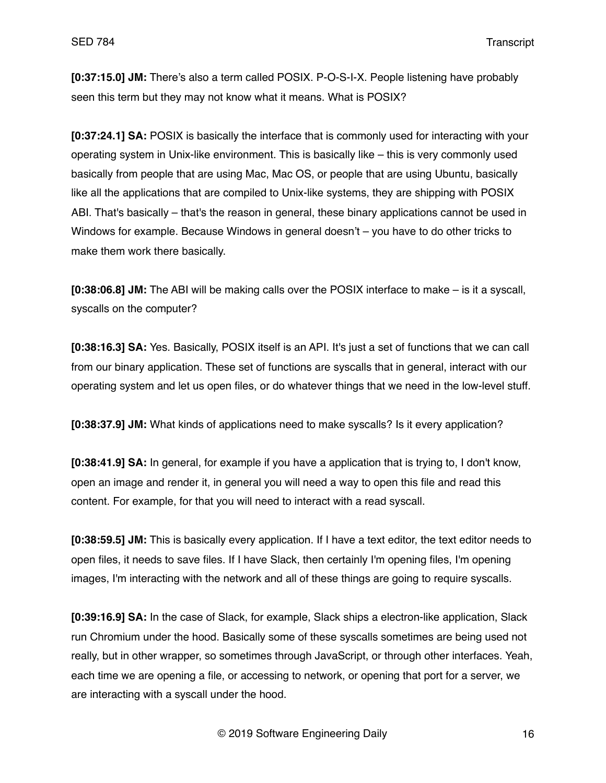**[0:37:15.0] JM:** There's also a term called POSIX. P-O-S-I-X. People listening have probably seen this term but they may not know what it means. What is POSIX?

**[0:37:24.1] SA:** POSIX is basically the interface that is commonly used for interacting with your operating system in Unix-like environment. This is basically like – this is very commonly used basically from people that are using Mac, Mac OS, or people that are using Ubuntu, basically like all the applications that are compiled to Unix-like systems, they are shipping with POSIX ABI. That's basically – that's the reason in general, these binary applications cannot be used in Windows for example. Because Windows in general doesn't – you have to do other tricks to make them work there basically.

**[0:38:06.8] JM:** The ABI will be making calls over the POSIX interface to make – is it a syscall, syscalls on the computer?

**[0:38:16.3] SA:** Yes. Basically, POSIX itself is an API. It's just a set of functions that we can call from our binary application. These set of functions are syscalls that in general, interact with our operating system and let us open files, or do whatever things that we need in the low-level stuff.

**[0:38:37.9] JM:** What kinds of applications need to make syscalls? Is it every application?

**[0:38:41.9] SA:** In general, for example if you have a application that is trying to, I don't know, open an image and render it, in general you will need a way to open this file and read this content. For example, for that you will need to interact with a read syscall.

**[0:38:59.5] JM:** This is basically every application. If I have a text editor, the text editor needs to open files, it needs to save files. If I have Slack, then certainly I'm opening files, I'm opening images, I'm interacting with the network and all of these things are going to require syscalls.

**[0:39:16.9] SA:** In the case of Slack, for example, Slack ships a electron-like application, Slack run Chromium under the hood. Basically some of these syscalls sometimes are being used not really, but in other wrapper, so sometimes through JavaScript, or through other interfaces. Yeah, each time we are opening a file, or accessing to network, or opening that port for a server, we are interacting with a syscall under the hood.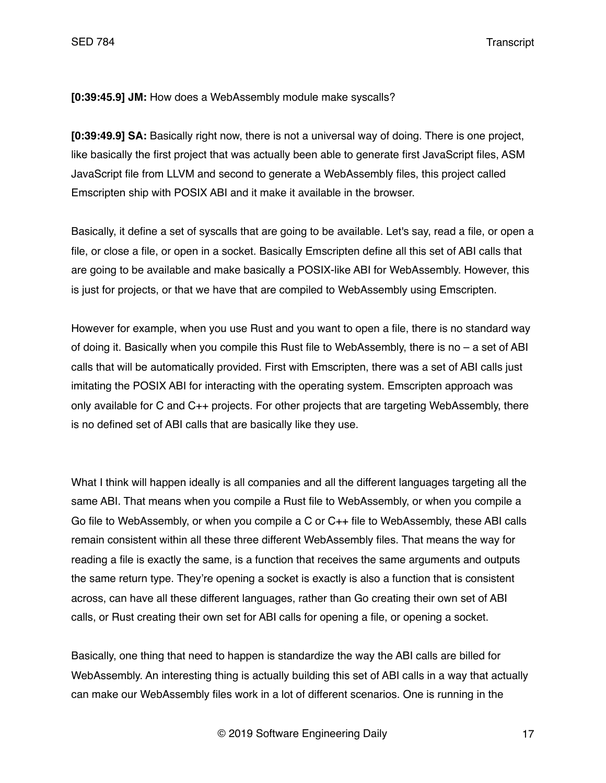**[0:39:45.9] JM:** How does a WebAssembly module make syscalls?

**[0:39:49.9] SA:** Basically right now, there is not a universal way of doing. There is one project, like basically the first project that was actually been able to generate first JavaScript files, ASM JavaScript file from LLVM and second to generate a WebAssembly files, this project called Emscripten ship with POSIX ABI and it make it available in the browser.

Basically, it define a set of syscalls that are going to be available. Let's say, read a file, or open a file, or close a file, or open in a socket. Basically Emscripten define all this set of ABI calls that are going to be available and make basically a POSIX-like ABI for WebAssembly. However, this is just for projects, or that we have that are compiled to WebAssembly using Emscripten.

However for example, when you use Rust and you want to open a file, there is no standard way of doing it. Basically when you compile this Rust file to WebAssembly, there is no – a set of ABI calls that will be automatically provided. First with Emscripten, there was a set of ABI calls just imitating the POSIX ABI for interacting with the operating system. Emscripten approach was only available for C and C++ projects. For other projects that are targeting WebAssembly, there is no defined set of ABI calls that are basically like they use.

What I think will happen ideally is all companies and all the different languages targeting all the same ABI. That means when you compile a Rust file to WebAssembly, or when you compile a Go file to WebAssembly, or when you compile a C or C++ file to WebAssembly, these ABI calls remain consistent within all these three different WebAssembly files. That means the way for reading a file is exactly the same, is a function that receives the same arguments and outputs the same return type. They're opening a socket is exactly is also a function that is consistent across, can have all these different languages, rather than Go creating their own set of ABI calls, or Rust creating their own set for ABI calls for opening a file, or opening a socket.

Basically, one thing that need to happen is standardize the way the ABI calls are billed for WebAssembly. An interesting thing is actually building this set of ABI calls in a way that actually can make our WebAssembly files work in a lot of different scenarios. One is running in the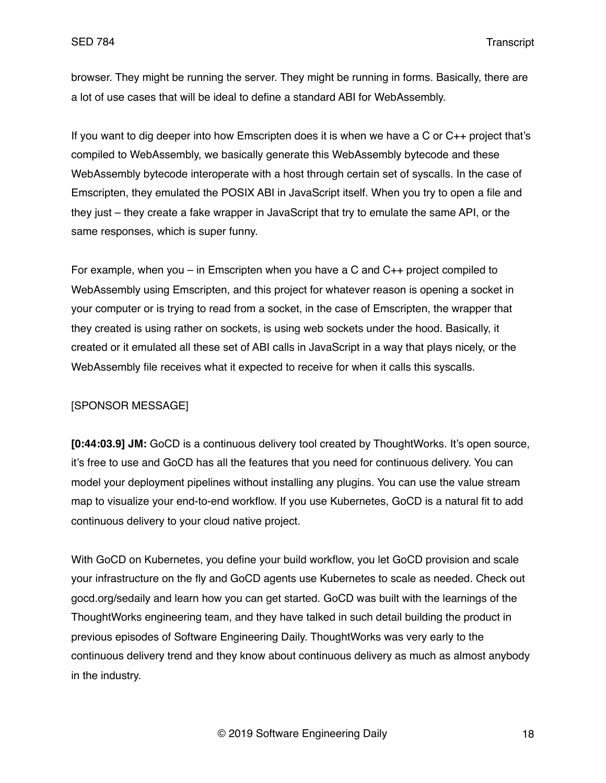browser. They might be running the server. They might be running in forms. Basically, there are a lot of use cases that will be ideal to define a standard ABI for WebAssembly.

If you want to dig deeper into how Emscripten does it is when we have a C or C++ project that's compiled to WebAssembly, we basically generate this WebAssembly bytecode and these WebAssembly bytecode interoperate with a host through certain set of syscalls. In the case of Emscripten, they emulated the POSIX ABI in JavaScript itself. When you try to open a file and they just – they create a fake wrapper in JavaScript that try to emulate the same API, or the same responses, which is super funny.

For example, when you – in Emscripten when you have a C and C++ project compiled to WebAssembly using Emscripten, and this project for whatever reason is opening a socket in your computer or is trying to read from a socket, in the case of Emscripten, the wrapper that they created is using rather on sockets, is using web sockets under the hood. Basically, it created or it emulated all these set of ABI calls in JavaScript in a way that plays nicely, or the WebAssembly file receives what it expected to receive for when it calls this syscalls.

#### [SPONSOR MESSAGE]

**[0:44:03.9] JM:** GoCD is a continuous delivery tool created by ThoughtWorks. It's open source, it's free to use and GoCD has all the features that you need for continuous delivery. You can model your deployment pipelines without installing any plugins. You can use the value stream map to visualize your end-to-end workflow. If you use Kubernetes, GoCD is a natural fit to add continuous delivery to your cloud native project.

With GoCD on Kubernetes, you define your build workflow, you let GoCD provision and scale your infrastructure on the fly and GoCD agents use Kubernetes to scale as needed. Check out gocd.org/sedaily and learn how you can get started. GoCD was built with the learnings of the ThoughtWorks engineering team, and they have talked in such detail building the product in previous episodes of Software Engineering Daily. ThoughtWorks was very early to the continuous delivery trend and they know about continuous delivery as much as almost anybody in the industry.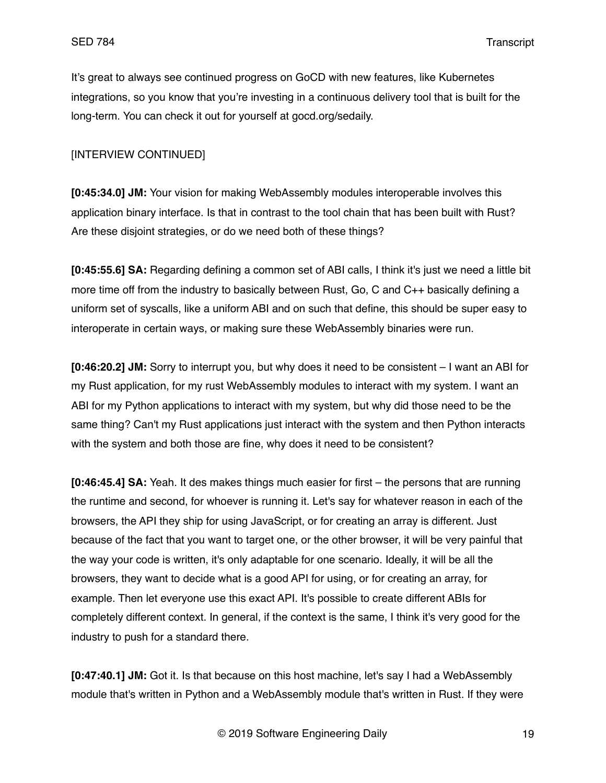It's great to always see continued progress on GoCD with new features, like Kubernetes integrations, so you know that you're investing in a continuous delivery tool that is built for the long-term. You can check it out for yourself at gocd.org/sedaily.

### [INTERVIEW CONTINUED]

**[0:45:34.0] JM:** Your vision for making WebAssembly modules interoperable involves this application binary interface. Is that in contrast to the tool chain that has been built with Rust? Are these disjoint strategies, or do we need both of these things?

**[0:45:55.6] SA:** Regarding defining a common set of ABI calls, I think it's just we need a little bit more time off from the industry to basically between Rust, Go, C and C++ basically defining a uniform set of syscalls, like a uniform ABI and on such that define, this should be super easy to interoperate in certain ways, or making sure these WebAssembly binaries were run.

**[0:46:20.2] JM:** Sorry to interrupt you, but why does it need to be consistent – I want an ABI for my Rust application, for my rust WebAssembly modules to interact with my system. I want an ABI for my Python applications to interact with my system, but why did those need to be the same thing? Can't my Rust applications just interact with the system and then Python interacts with the system and both those are fine, why does it need to be consistent?

**[0:46:45.4] SA:** Yeah. It des makes things much easier for first – the persons that are running the runtime and second, for whoever is running it. Let's say for whatever reason in each of the browsers, the API they ship for using JavaScript, or for creating an array is different. Just because of the fact that you want to target one, or the other browser, it will be very painful that the way your code is written, it's only adaptable for one scenario. Ideally, it will be all the browsers, they want to decide what is a good API for using, or for creating an array, for example. Then let everyone use this exact API. It's possible to create different ABIs for completely different context. In general, if the context is the same, I think it's very good for the industry to push for a standard there.

**[0:47:40.1] JM:** Got it. Is that because on this host machine, let's say I had a WebAssembly module that's written in Python and a WebAssembly module that's written in Rust. If they were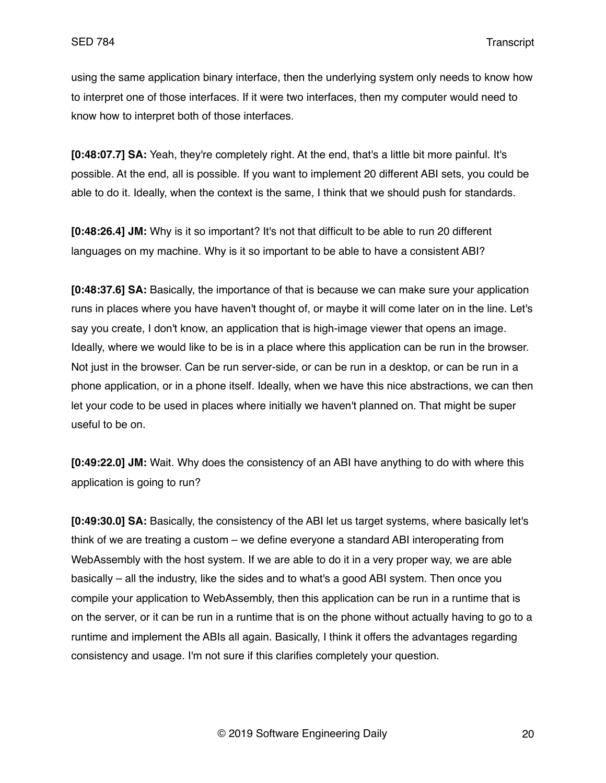using the same application binary interface, then the underlying system only needs to know how to interpret one of those interfaces. If it were two interfaces, then my computer would need to know how to interpret both of those interfaces.

**[0:48:07.7] SA:** Yeah, they're completely right. At the end, that's a little bit more painful. It's possible. At the end, all is possible. If you want to implement 20 different ABI sets, you could be able to do it. Ideally, when the context is the same, I think that we should push for standards.

**[0:48:26.4] JM:** Why is it so important? It's not that difficult to be able to run 20 different languages on my machine. Why is it so important to be able to have a consistent ABI?

**[0:48:37.6] SA:** Basically, the importance of that is because we can make sure your application runs in places where you have haven't thought of, or maybe it will come later on in the line. Let's say you create, I don't know, an application that is high-image viewer that opens an image. Ideally, where we would like to be is in a place where this application can be run in the browser. Not just in the browser. Can be run server-side, or can be run in a desktop, or can be run in a phone application, or in a phone itself. Ideally, when we have this nice abstractions, we can then let your code to be used in places where initially we haven't planned on. That might be super useful to be on.

**[0:49:22.0] JM:** Wait. Why does the consistency of an ABI have anything to do with where this application is going to run?

**[0:49:30.0] SA:** Basically, the consistency of the ABI let us target systems, where basically let's think of we are treating a custom – we define everyone a standard ABI interoperating from WebAssembly with the host system. If we are able to do it in a very proper way, we are able basically – all the industry, like the sides and to what's a good ABI system. Then once you compile your application to WebAssembly, then this application can be run in a runtime that is on the server, or it can be run in a runtime that is on the phone without actually having to go to a runtime and implement the ABIs all again. Basically, I think it offers the advantages regarding consistency and usage. I'm not sure if this clarifies completely your question.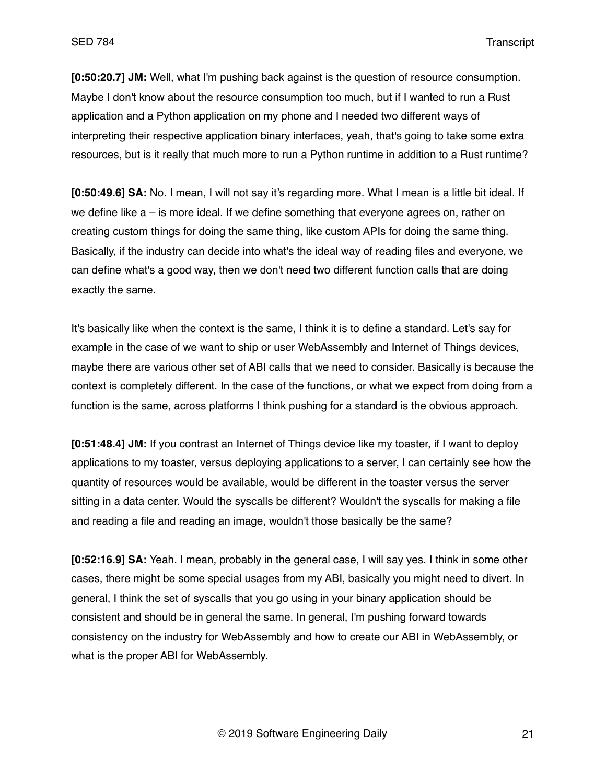**[0:50:20.7] JM:** Well, what I'm pushing back against is the question of resource consumption. Maybe I don't know about the resource consumption too much, but if I wanted to run a Rust application and a Python application on my phone and I needed two different ways of interpreting their respective application binary interfaces, yeah, that's going to take some extra resources, but is it really that much more to run a Python runtime in addition to a Rust runtime?

**[0:50:49.6] SA:** No. I mean, I will not say it's regarding more. What I mean is a little bit ideal. If we define like a – is more ideal. If we define something that everyone agrees on, rather on creating custom things for doing the same thing, like custom APIs for doing the same thing. Basically, if the industry can decide into what's the ideal way of reading files and everyone, we can define what's a good way, then we don't need two different function calls that are doing exactly the same.

It's basically like when the context is the same, I think it is to define a standard. Let's say for example in the case of we want to ship or user WebAssembly and Internet of Things devices, maybe there are various other set of ABI calls that we need to consider. Basically is because the context is completely different. In the case of the functions, or what we expect from doing from a function is the same, across platforms I think pushing for a standard is the obvious approach.

**[0:51:48.4] JM:** If you contrast an Internet of Things device like my toaster, if I want to deploy applications to my toaster, versus deploying applications to a server, I can certainly see how the quantity of resources would be available, would be different in the toaster versus the server sitting in a data center. Would the syscalls be different? Wouldn't the syscalls for making a file and reading a file and reading an image, wouldn't those basically be the same?

**[0:52:16.9] SA:** Yeah. I mean, probably in the general case, I will say yes. I think in some other cases, there might be some special usages from my ABI, basically you might need to divert. In general, I think the set of syscalls that you go using in your binary application should be consistent and should be in general the same. In general, I'm pushing forward towards consistency on the industry for WebAssembly and how to create our ABI in WebAssembly, or what is the proper ABI for WebAssembly.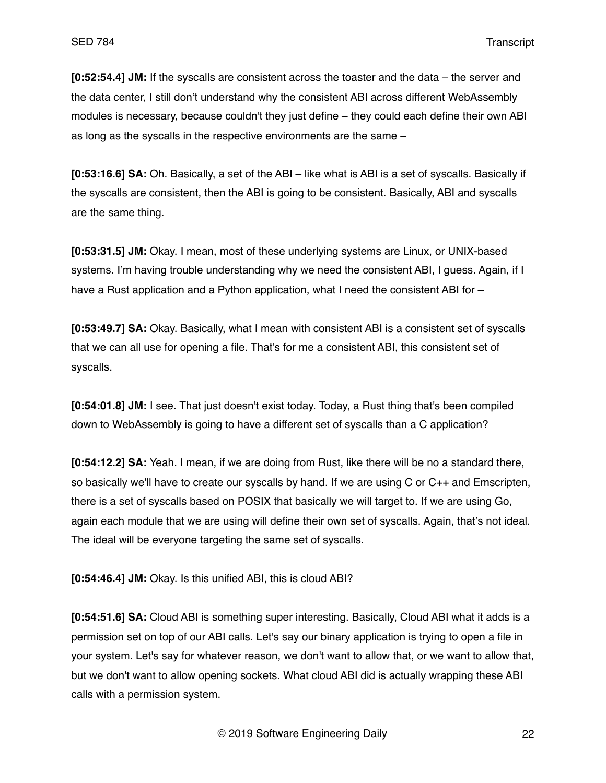**[0:52:54.4] JM:** If the syscalls are consistent across the toaster and the data – the server and the data center, I still don't understand why the consistent ABI across different WebAssembly modules is necessary, because couldn't they just define – they could each define their own ABI as long as the syscalls in the respective environments are the same –

**[0:53:16.6] SA:** Oh. Basically, a set of the ABI – like what is ABI is a set of syscalls. Basically if the syscalls are consistent, then the ABI is going to be consistent. Basically, ABI and syscalls are the same thing.

**[0:53:31.5] JM:** Okay. I mean, most of these underlying systems are Linux, or UNIX-based systems. I'm having trouble understanding why we need the consistent ABI, I guess. Again, if I have a Rust application and a Python application, what I need the consistent ABI for -

**[0:53:49.7] SA:** Okay. Basically, what I mean with consistent ABI is a consistent set of syscalls that we can all use for opening a file. That's for me a consistent ABI, this consistent set of syscalls.

**[0:54:01.8] JM:** I see. That just doesn't exist today. Today, a Rust thing that's been compiled down to WebAssembly is going to have a different set of syscalls than a C application?

**[0:54:12.2] SA:** Yeah. I mean, if we are doing from Rust, like there will be no a standard there, so basically we'll have to create our syscalls by hand. If we are using C or C++ and Emscripten, there is a set of syscalls based on POSIX that basically we will target to. If we are using Go, again each module that we are using will define their own set of syscalls. Again, that's not ideal. The ideal will be everyone targeting the same set of syscalls.

**[0:54:46.4] JM:** Okay. Is this unified ABI, this is cloud ABI?

**[0:54:51.6] SA:** Cloud ABI is something super interesting. Basically, Cloud ABI what it adds is a permission set on top of our ABI calls. Let's say our binary application is trying to open a file in your system. Let's say for whatever reason, we don't want to allow that, or we want to allow that, but we don't want to allow opening sockets. What cloud ABI did is actually wrapping these ABI calls with a permission system.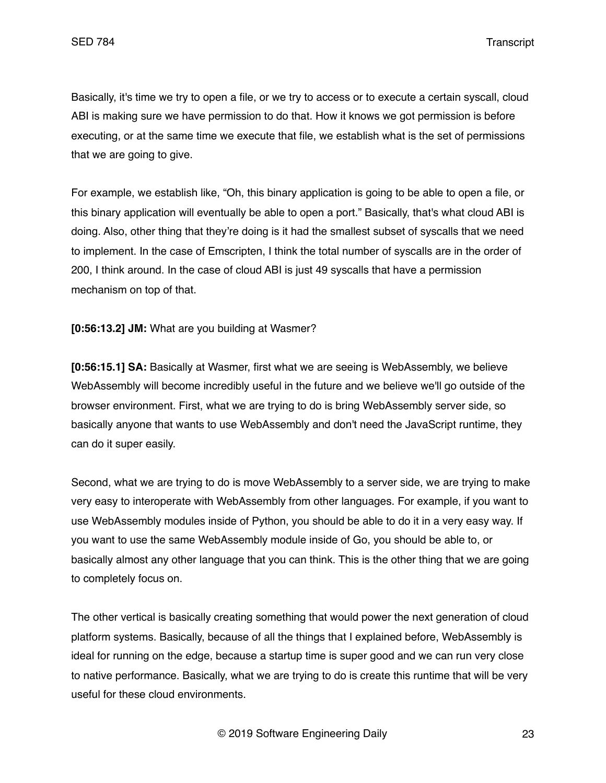Basically, it's time we try to open a file, or we try to access or to execute a certain syscall, cloud ABI is making sure we have permission to do that. How it knows we got permission is before executing, or at the same time we execute that file, we establish what is the set of permissions that we are going to give.

For example, we establish like, "Oh, this binary application is going to be able to open a file, or this binary application will eventually be able to open a port." Basically, that's what cloud ABI is doing. Also, other thing that they're doing is it had the smallest subset of syscalls that we need to implement. In the case of Emscripten, I think the total number of syscalls are in the order of 200, I think around. In the case of cloud ABI is just 49 syscalls that have a permission mechanism on top of that.

**[0:56:13.2] JM:** What are you building at Wasmer?

**[0:56:15.1] SA:** Basically at Wasmer, first what we are seeing is WebAssembly, we believe WebAssembly will become incredibly useful in the future and we believe we'll go outside of the browser environment. First, what we are trying to do is bring WebAssembly server side, so basically anyone that wants to use WebAssembly and don't need the JavaScript runtime, they can do it super easily.

Second, what we are trying to do is move WebAssembly to a server side, we are trying to make very easy to interoperate with WebAssembly from other languages. For example, if you want to use WebAssembly modules inside of Python, you should be able to do it in a very easy way. If you want to use the same WebAssembly module inside of Go, you should be able to, or basically almost any other language that you can think. This is the other thing that we are going to completely focus on.

The other vertical is basically creating something that would power the next generation of cloud platform systems. Basically, because of all the things that I explained before, WebAssembly is ideal for running on the edge, because a startup time is super good and we can run very close to native performance. Basically, what we are trying to do is create this runtime that will be very useful for these cloud environments.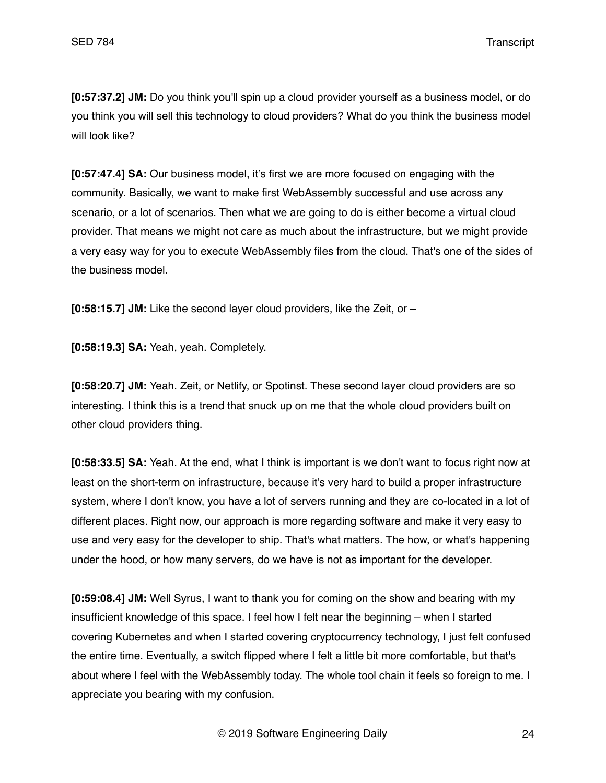**[0:57:37.2] JM:** Do you think you'll spin up a cloud provider yourself as a business model, or do you think you will sell this technology to cloud providers? What do you think the business model will look like?

**[0:57:47.4] SA:** Our business model, it's first we are more focused on engaging with the community. Basically, we want to make first WebAssembly successful and use across any scenario, or a lot of scenarios. Then what we are going to do is either become a virtual cloud provider. That means we might not care as much about the infrastructure, but we might provide a very easy way for you to execute WebAssembly files from the cloud. That's one of the sides of the business model.

**[0:58:15.7] JM:** Like the second layer cloud providers, like the Zeit, or –

**[0:58:19.3] SA:** Yeah, yeah. Completely.

**[0:58:20.7] JM:** Yeah. Zeit, or Netlify, or Spotinst. These second layer cloud providers are so interesting. I think this is a trend that snuck up on me that the whole cloud providers built on other cloud providers thing.

**[0:58:33.5] SA:** Yeah. At the end, what I think is important is we don't want to focus right now at least on the short-term on infrastructure, because it's very hard to build a proper infrastructure system, where I don't know, you have a lot of servers running and they are co-located in a lot of different places. Right now, our approach is more regarding software and make it very easy to use and very easy for the developer to ship. That's what matters. The how, or what's happening under the hood, or how many servers, do we have is not as important for the developer.

**[0:59:08.4] JM:** Well Syrus, I want to thank you for coming on the show and bearing with my insufficient knowledge of this space. I feel how I felt near the beginning – when I started covering Kubernetes and when I started covering cryptocurrency technology, I just felt confused the entire time. Eventually, a switch flipped where I felt a little bit more comfortable, but that's about where I feel with the WebAssembly today. The whole tool chain it feels so foreign to me. I appreciate you bearing with my confusion.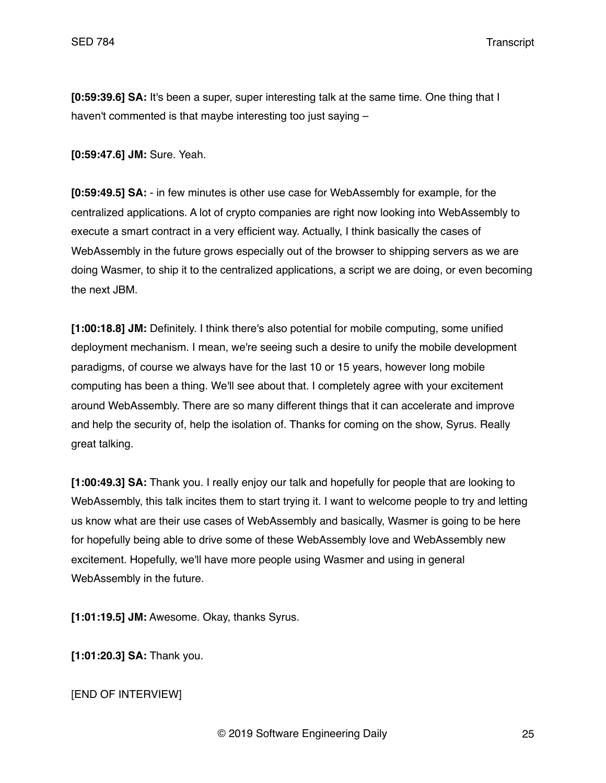**[0:59:39.6] SA:** It's been a super, super interesting talk at the same time. One thing that I haven't commented is that maybe interesting too just saying  $-$ 

**[0:59:47.6] JM:** Sure. Yeah.

**[0:59:49.5] SA:** - in few minutes is other use case for WebAssembly for example, for the centralized applications. A lot of crypto companies are right now looking into WebAssembly to execute a smart contract in a very efficient way. Actually, I think basically the cases of WebAssembly in the future grows especially out of the browser to shipping servers as we are doing Wasmer, to ship it to the centralized applications, a script we are doing, or even becoming the next JBM.

**[1:00:18.8] JM:** Definitely. I think there's also potential for mobile computing, some unified deployment mechanism. I mean, we're seeing such a desire to unify the mobile development paradigms, of course we always have for the last 10 or 15 years, however long mobile computing has been a thing. We'll see about that. I completely agree with your excitement around WebAssembly. There are so many different things that it can accelerate and improve and help the security of, help the isolation of. Thanks for coming on the show, Syrus. Really great talking.

**[1:00:49.3] SA:** Thank you. I really enjoy our talk and hopefully for people that are looking to WebAssembly, this talk incites them to start trying it. I want to welcome people to try and letting us know what are their use cases of WebAssembly and basically, Wasmer is going to be here for hopefully being able to drive some of these WebAssembly love and WebAssembly new excitement. Hopefully, we'll have more people using Wasmer and using in general WebAssembly in the future.

**[1:01:19.5] JM:** Awesome. Okay, thanks Syrus.

**[1:01:20.3] SA:** Thank you.

[END OF INTERVIEW]